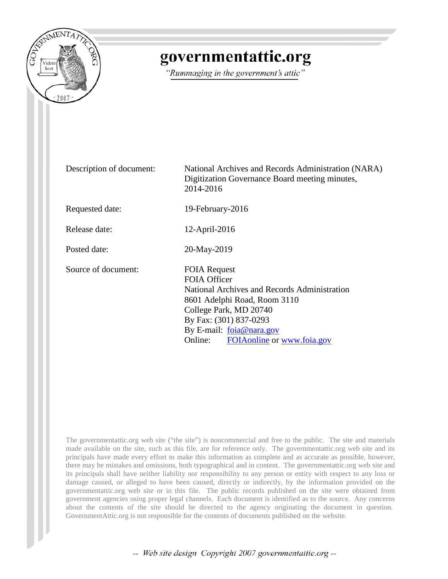

# governmentattic.org

"Rummaging in the government's attic"

Description of document: National Archives and Records Administration (NARA) Digitization Governance Board meeting minutes, 2014-2016 Requested date: 19-February-2016 Release date: 12-April-2016 Posted date: 20-May-2019 Source of document: FOIA Request FOIA Officer National Archives and Records Administration 8601 Adelphi Road, Room 3110 College Park, MD 20740 By Fax: (301) 837-0293 By E-mail: [foia@nara.gov](mailto:foia@nara.gov) Online: [FOIAonline](https://foiaonline.gov/foiaonline/action/public/home) or [www.foia.gov](https://www.foia.gov/)

The governmentattic.org web site ("the site") is noncommercial and free to the public. The site and materials made available on the site, such as this file, are for reference only. The governmentattic.org web site and its principals have made every effort to make this information as complete and as accurate as possible, however, there may be mistakes and omissions, both typographical and in content. The governmentattic.org web site and its principals shall have neither liability nor responsibility to any person or entity with respect to any loss or damage caused, or alleged to have been caused, directly or indirectly, by the information provided on the governmentattic.org web site or in this file. The public records published on the site were obtained from government agencies using proper legal channels. Each document is identified as to the source. Any concerns about the contents of the site should be directed to the agency originating the document in question. GovernmentAttic.org is not responsible for the contents of documents published on the website.

-- Web site design Copyright 2007 governmentattic.org --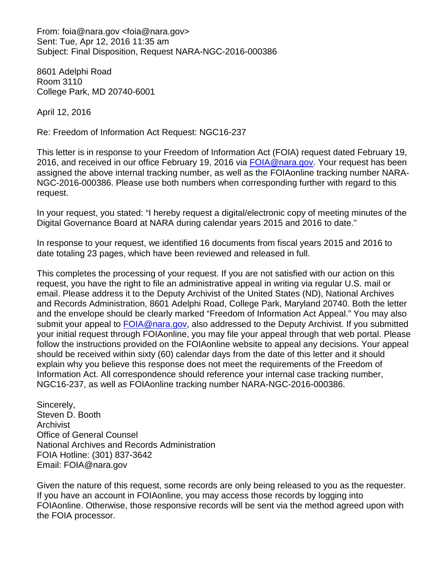From: foia@nara.gov <foia@nara.gov> Sent: Tue, Apr 12, 2016 11:35 am Subject: Final Disposition, Request NARA-NGC-2016-000386

8601 Adelphi Road Room 3110 College Park, MD 20740-6001

April 12, 2016

Re: Freedom of Information Act Request: NGC16-237

This letter is in response to your Freedom of Information Act (FOIA) request dated February 19, 2016, and received in our office February 19, 2016 via [FOIA@nara.gov.](mailto:FOIA@nara.gov) Your request has been assigned the above internal tracking number, as well as the FOIAonline tracking number NARA-NGC-2016-000386. Please use both numbers when corresponding further with regard to this request.

In your request, you stated: "I hereby request a digital/electronic copy of meeting minutes of the Digital Governance Board at NARA during calendar years 2015 and 2016 to date."

In response to your request, we identified 16 documents from fiscal years 2015 and 2016 to date totaling 23 pages, which have been reviewed and released in full.

This completes the processing of your request. If you are not satisfied with our action on this request, you have the right to file an administrative appeal in writing via regular U.S. mail or email. Please address it to the Deputy Archivist of the United States (ND), National Archives and Records Administration, 8601 Adelphi Road, College Park, Maryland 20740. Both the letter and the envelope should be clearly marked "Freedom of Information Act Appeal." You may also submit your appeal to [FOIA@nara.gov,](mailto:FOIA@nara.gov) also addressed to the Deputy Archivist. If you submitted your initial request through FOIAonline, you may file your appeal through that web portal. Please follow the instructions provided on the FOIAonline website to appeal any decisions. Your appeal should be received within sixty (60) calendar days from the date of this letter and it should explain why you believe this response does not meet the requirements of the Freedom of Information Act. All correspondence should reference your internal case tracking number, NGC16-237, as well as FOIAonline tracking number NARA-NGC-2016-000386.

Sincerely, Steven D. Booth Archivist Office of General Counsel National Archives and Records Administration FOIA Hotline: (301) 837-3642 Email: FOIA@nara.gov

Given the nature of this request, some records are only being released to you as the requester. If you have an account in FOIAonline, you may access those records by logging into FOIAonline. Otherwise, those responsive records will be sent via the method agreed upon with the FOIA processor.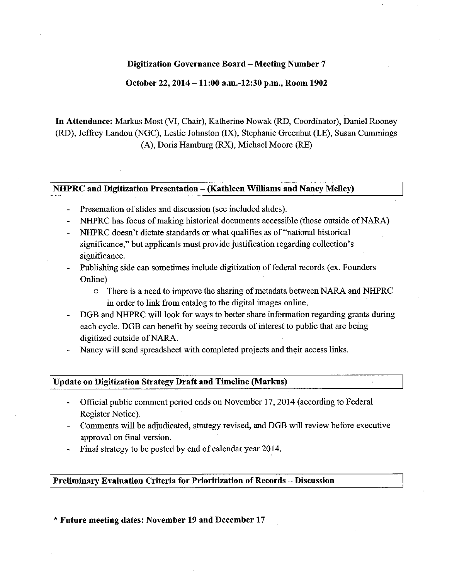#### **October 22, 2014 -11:00 a.m.-12:30 p.m., Room 1902**

**In Attendance:** Markus Most (VI, Chair), Katherine Nowak (RD, Coordinator), Daniel Rooney (RD), Jeffrey Landou (NGC), Leslie Johnston (IX), Stephanie Greenhut (LE), Susan Cummings (A), Doris Hamburg (RX), Michael Moore (RE)

#### **NHPRC and Digitization Presentation - (Kathleen Williams and Nancy Melley)**

- Presentation of slides and discussion (see included slides).  $\overline{a}$
- NHPRC has focus of making historical documents accessible (those outside of NARA)
- NHPRC doesn't dictate standards or what qualifies as of "national historical significance," but applicants must provide justification regarding collection's significance.
- Publishing side can sometimes include digitization of federal records (ex. Founders Online)
	- o There is a need to improve the sharing of metadata between NARA and NHPRC in order to link from catalog to the digital images online.
- DGB and NHPRC will look for ways to better share information regarding grants during each cycle. DGB can benefit by seeing records of interest to public that are being digitized outside of NARA.
- Nancy will send spreadsheet with completed projects and their access links.

#### I **Update on Digitization Strategy Draft and Timeline (Markus)**

- Official public comment period ends on November 17, 2014 (according to Federal Register Notice).
- Comments will be adjudicated, strategy revised, and DGB will review before executive approval on final version.
- Final strategy to be posted by end of calendar year 2014.

# **Preliminary Evaluation Criteria for Prioritization of Records** - **Discussion**

\* **Future meeting dates: November 19 and December 17**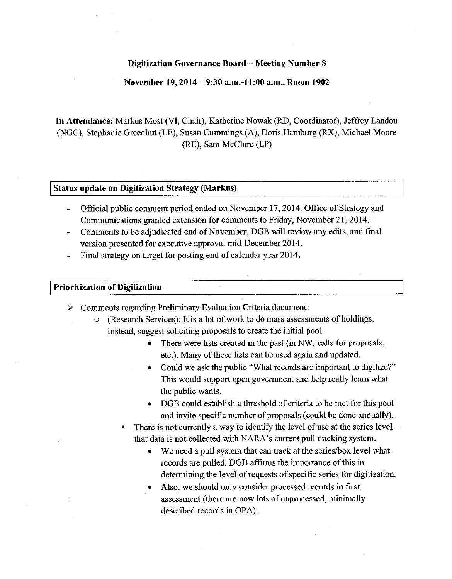#### **November 19, 2014 - 9:30 a.m.-11:00 a.m., Room 1902**

**In Attendance:** Markus Most (VI, Chair), Katherine Nowak (RD, Coordinator), Jeffrey Landou (NGC), Stephanie Greenhut (LE), Susan Cummings (A), Doris Hamburg (RX), Michael Moore (RE), Sam McClure (LP)

#### **Status update on Digitization Strategy (Markus)**

- Official public comment period ended on November 17, 2014. Office of Strategy and Communications granted extension for comments to Friday, November 21, 2014.
- Comments to be adjudicated end of November, DGB will review any edits, and final version presented for executive approval mid-December 2014.
- Final strategy on target for posting end of calendar year 2014.

#### I **Prioritization of Digitization**

- Comments regarding Preliminary Evaluation Criteria document:
	- o (Research Services): It is a lot of work to do mass assessments of holdings. Instead, suggest soliciting proposals to create the initial pool.
		- There were lists created in the past (in NW, calls for proposals, etc.). Many of these lists can be used again and updated.
		- Could we ask the public "What records are important to digitize?" This would support open government and help really learn what the public wants.
		- DGB could establish a threshold of criteria to be met for this pool and invite specific number of proposals ( could be done annually).
		- There is not currently a way to identify the level of use at the series  $level$ that data is not collected with NARA's current pull tracking system.
			- We need a pull system that can track at the series/box level what records are pulled. DGB affirms the importance of this in determining the level of requests of specific series for digitization.
			- Also, we should only consider processed records in first assessment (there are now lots of unprocessed, minimally described records in OPA).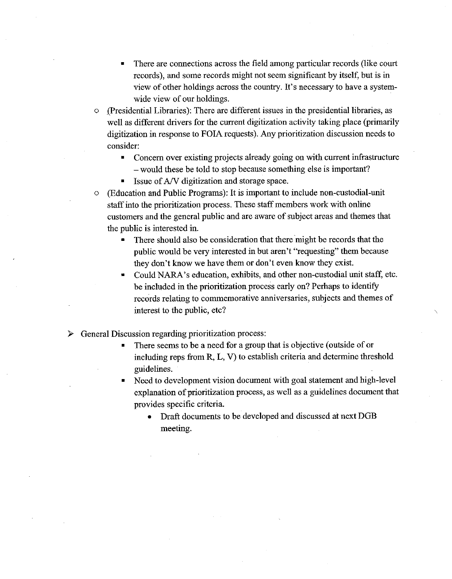- There are connections across the field among particular records (like court records), and some records might not seem significant by itself, but is in view of other holdings across the country. It's necessary to have a systemwide view of our holdings.
- o .(Presidential Libraries): There are different issues in the presidential libraries, as well as different drivers for the current digitization activity taking place (primarily digitization in response to FOIA requests). Any prioritization discussion needs to consider:
	- Concern over existing projects already going on with current infrastructure - would these be told to stop because something else is important?
	- Issue of A/V digitization and storage space.

o (Education and Public Programs): It is important to include non-custodial-unit staff into the prioritization process. These staff members work with online customers and the general public and are aware of subject areas and themes that the public is interested in.

- There should also be consideration that there might be records that the public would be very interested in but aren't "requesting" them because they don't know we have them or don't even know they exist.
- Could NARA's education, exhibits, and other non-custodial unit staff, etc. be included in the prioritization process early on? Perhaps to identify records relating to commemorative anniversaries, subjects and themes of interest to the public, etc?
- $\triangleright$  General Discussion regarding prioritization process:
	- There seems to be a need for a group that is objective (outside of or including reps from R, L, V) to establish criteria and determine threshold guidelines.
	- Need to development vision document with goal statement and high-level explanation of prioritization process, as well as a guidelines document that provides specific criteria.
		- Draft documents to be developed and discussed at next DGB meeting.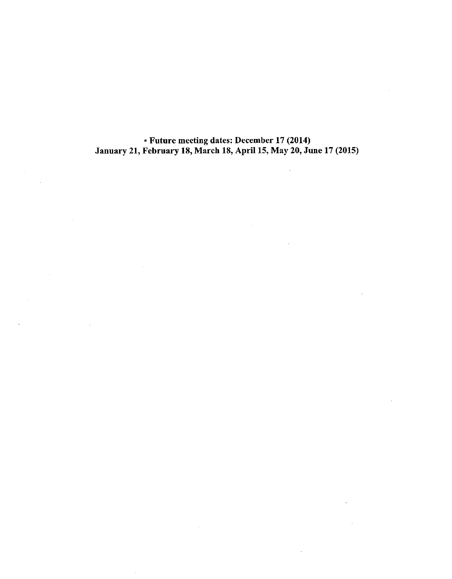• Future meeting dates: December 17 (2014) January 21, February 18, March 18, April 15, May 20, June 17 (2015)

L.

 $\mathcal{A}^{\mathcal{A}}$ 

 $\ddot{\phantom{a}}$ 

 $\mathbf{r}$ 

 $\sim$ 

 $\bar{z}$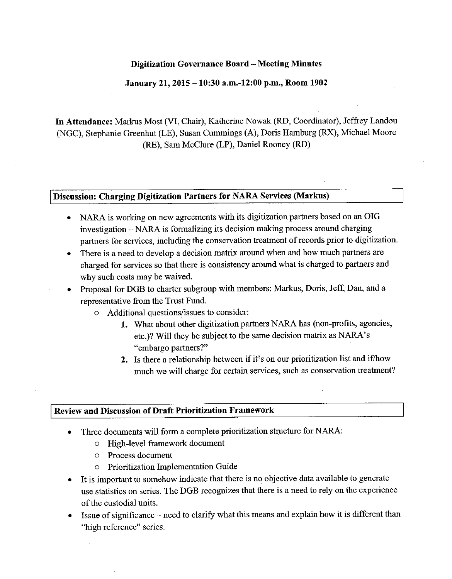#### **January 21, 2015 -10:30 a.m.-12:00 p.m., Room 1902**

**In Attendance:** Markus Most (VI, Chair), Katherine Nowak (RD, Coordinator), Jeffrey Landou (NGC), Stephanie Greenhut (LE), Susan Cummings (A), Doris Hamburg (RX), Michael Moore (RE), Sam McClure **(LP),** Daniel Rooney (RD)

#### **Discussion: Charging Digitization Partners for NARA Services (Markus)**

- NARA is working on new agreements with its digitization partners based on an OIG investigation - NARA is formalizing its decision making process around charging partners for services, including the conservation treatment of records prior to digitization.
- There is a need to develop a decision matrix around when and how much partners are charged for services so that there is consistency around what is charged to partners and why such costs may be waived.
- Proposal for DGB to charter subgroup with members: Markus, Doris, Jeff, Dan, and a representative from the Trust Fund.
	- Additional questions/issues to consider:
		- **1.** What about other digitization partners NARA has (non-profits, agencies, etc.)? Will they be subject to the same decision matrix as NARA's "embargo partners?"
		- **2.** Is there a relationship between **if** it's on our prioritization list and if/how much we will charge for certain services, such as conservation treatment?

#### **Review and Discussion of Draft Prioritization Framework**

- Three documents will form a complete prioritization structure for NARA:
	- o High-level framework document
	- o Process document
	- o Prioritization Implementation Guide
- It is important to somehow indicate that there is no objective data available to generate use statistics on series. The DGB recognizes that there is a need to rely on the experience of the custodial units.
- Issue of significance need to clarify what this means and explain how it is different than "high reference" series.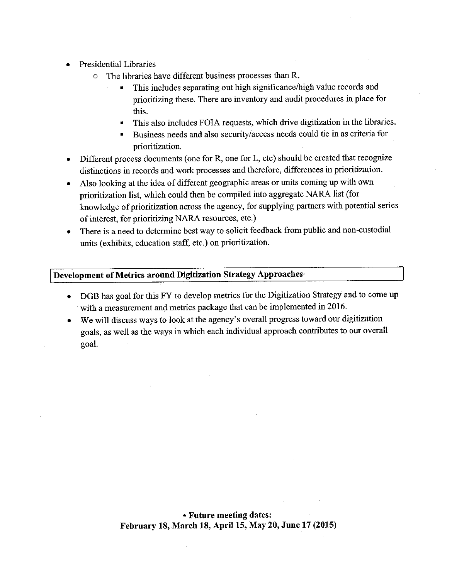- Presidential Libraries
	- o The libraries have different business processes than R.
		- This includes separating out high significance/high value records and prioritizing these. There are inventory and audit procedures in place for this.
		- This also includes FOIA requests, which drive digitization in the libraries.
		- Business needs and also security/access needs could tie in as criteria for prioritization.
- Different process documents ( one for R, one for L, etc) should be created that recognize distinctions in records and work processes and therefore, differences in prioritization.
- Also looking at the idea of different geographic areas or units coming up with own prioritization list, which could then be compiled into aggregate NARA list (for knowledge of prioritization across the agency, for supplying partners with potential series of interest, for prioritizing NARA resources, etc.)
- There is a need to determine best way to solicit feedback from public and non-custodial units (exhibits, education staff, etc.) on prioritization.

# **Development of Metrics around Digitization Strategy Approaches·**

- DOB has goal for this FY to develop metrics for the Digitization Strategy and to come up with a measurement and metrics package that can be implemented in 2016.
- We will discuss ways to look at the agency's overall progress toward our digitization goals, as well as the ways in which each individual approach contributes to our overall goal.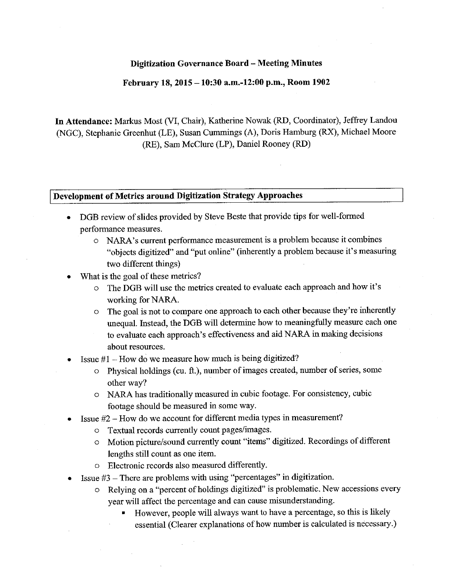#### **February 18, 2015 -10:30 a.m.-12:00 p.m., Room 1902**

**In Attendance:** Markus Most (VI, Chair), Katherine Nowak (RD, Coordinator), Jeffrey Landon (NGC), Stephanie Greenhut (LE), Susan Cummings (A), Doris Hamburg (RX), Michael Moore (RE), Sam McClure (LP), Daniel Rooney (RD)

#### **Development of Metrics around Digitization Strategy Approaches**

- DGB review of slides provided by Steve Beste that provide tips for well-formed performance measures.
	- o NARA's current performance measurement is a problem because it combines "objects digitized" and "put online" (inherently a problem because it's measuring two different things)
- What is the goal of these metrics?
	- o The DGB will use the metrics created to evaluate each approach and how it's working for NARA.
	- o The goal is not to compare one approach to each other because they're inherently unequal. Instead, the DGB will determine how to meaningfully measure each one to evaluate each approach's effectiveness and aid NARA in making decisions about resources.
- Issue  $#1$  How do we measure how much is being digitized?
	- o Physical holdings ( cu. ft.), number of images created, number of series, some other way?
	- o NARA has traditionally measured in cubic footage. For consistency, cubic footage should be measured in some way.
- Issue #2 How do we account for different media types in measurement?
	- o Textual records currently count pages/images.
	- o Motion picture/sound currently count "items" digitized. Recordings of different lengths still count as one item.
	- o Electronic records also measured differently.
- Issue #3 There are problems with using "percentages" in digitization.
	- o Relying on a "percent of holdings digitized" is problematic. New accessions every year will affect the percentage and can cause misunderstanding.
		- However, people will always want to have a percentage, so this is likely essential (Clearer explanations of how number is calculated is necessary.)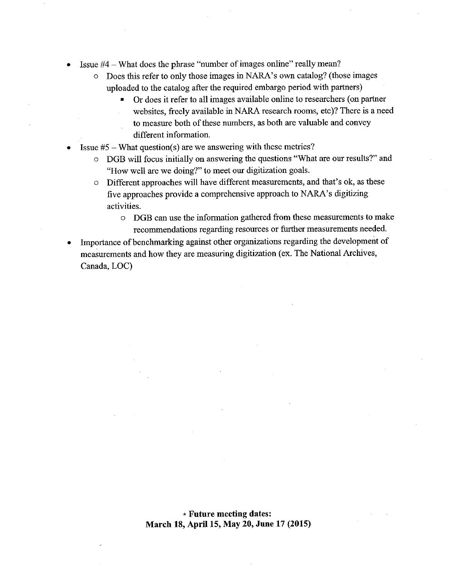- Issue #4 What does the phrase "number of images online" really mean?
	- o Does this refer to only those images in NARA's own catalog? (those images uploaded to the catalog after the required embargo period with partners)
		- Or does it refer to all images available online to researchers ( on partner websites, freely available in NARA research rooms, etc)? There is a need to measure both of these numbers, as both are valuable and convey different information.
- Issue  $#5$  What question(s) are we answering with these metrics?
	- o DOB will focus initially on answering the questions "What are our results?" and "How well are we doing?" to meet our digitization goals.
	- o Different approaches will have different measurements, and that's ok, as these five approaches provide a comprehensive approach to NARA's digitizing activities.
		- o DOB can use the information gathered from these measurements to make recommendations regarding resources or further measurements needed.
- Importance of benchmarking against other organizations regarding the development of measurements and how they are measuring digitization ( ex. The National Archives, Canada, LOC)

#### \* **Future meeting dates: March 18, April 15, May 20, June 17 (2015)**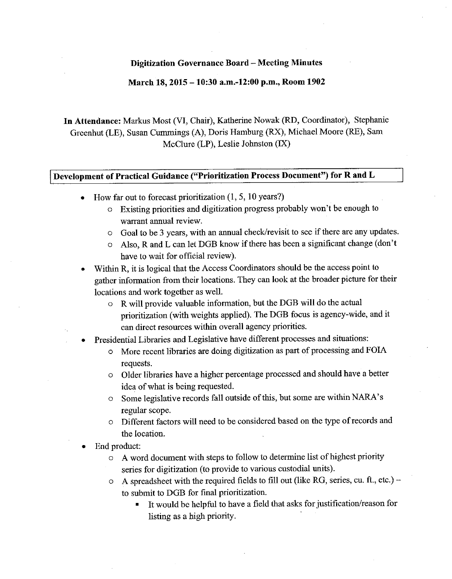#### **March 18, 2015 - 10:30 a.m.-12:00 p.m., Room 1902**

**In Attendance:** Markus Most (VI, Chair), Katherine Nowak (RD, Coordinator), Stephanie Greenhut (LE), Susan Cummings (A), Doris Hamburg (RX), Michael Moore (RE), Sam McClure (LP), Leslie Johnston (IX)

#### **Development of Practical Guidance ("Prioritization Process Document") for R and L**

- How far out to forecast prioritization  $(1, 5, 10 \text{ years})$ 
	- o Existing priorities and digitization progress probably won't be enough to warrant annual review.
	- o Goal to be 3 years, with an annual check/revisit to see if there are any updates.
	- o Also, Rand **L** can let DOB know if there has been a significant change (don't have to wait for official review).
- Within R, it is logical that the Access Coordinators should be the access point to gather information from their locations. They can look at the broader picture for their locations and work together as well.
	- o R will provide valuable information, but the DOB will do the actual prioritization (with weights applied). The DOB focus is agency-wide, and it can direct resources within overall agency priorities.
- Presidential Libraries and Legislative have different processes and situations:
	- More recent libraries are doing digitization as part of processing and FOIA requests.
	- o Older libraries have a higher percentage processed and should have a better idea of what is being requested.
	- o Some legislative records fall outside ofthis, but some are within NARA's regular scope.
	- o Different factors will need to be considered based on the type of records and the location.
- End product:
	- o A word document with steps to follow to determine list of highest priority series for digitization (to provide to various custodial units).
	- $\circ$  A spreadsheet with the required fields to fill out (like RG, series, cu. ft., etc.) to submit to DOB for final prioritization.
		- It would be helpful to have a field that asks for justification/reason for listing as a high priority.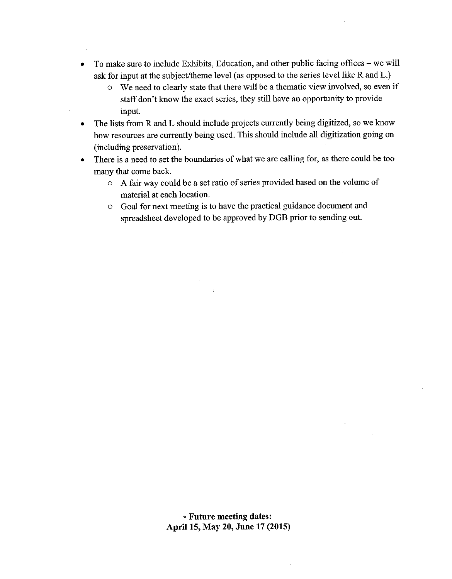- To make sure to include Exhibits, Education, and other public facing offices we will ask for input at the subject/theme level (as opposed to the series level like R and L.)
	- o We need to clearly state that there will be a thematic view involved, so even if staff don't know the exact series, they still have an opportunity to provide input.
- The lists from R and L should include projects currently being digitized, so we know how resources are currently being used. This should include all digitization going on (including preservation).
- There is a need to set the boundaries of what we are calling for, as there could be too many that come back.
	- o A fair way could be a set ratio of series provided based on the volume of material at each location.
	- o Goal for next meeting is to have the practical guidance document and spreadsheet developed to be approved by DGB prior to sending out.

 $\Delta$ 

\* **Future meeting dates: April 15, May 20, June 17 (2015)**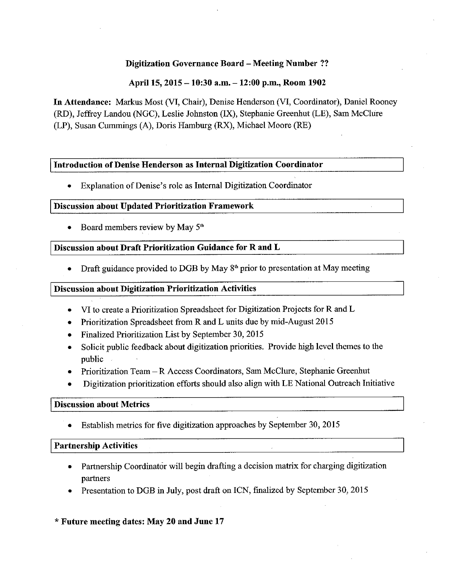# **Digitization Governance Board** - **Meeting Number** ??

# **April 15, 2015** - **10:30 a.m.** - **12:00 p.m., Room 1902**

**In Attendance:** Markus Most (VI, Chair), Denise Henderson (VI, Coordinator), Daniel Rooney (RD), Jeffrey Landou (NOC), Leslie Johnston (IX), Stephanie Oreenhut (LE), Sam McClure (LP), Susan Cummings (A), Doris Hamburg (RX), Michael Moore (RE)

#### **Introduction of Denise Henderson as Internal Digitization Coordinator**

• Explanation of Denise's role as Internal Digitization Coordinator

#### **Discussion about Updated Prioritization Framework**

Board members review by May 5<sup>th</sup>

# **Discussion about Draft Prioritization Guidance for R and L**

Draft guidance provided to DGB by May  $8<sup>th</sup>$  prior to presentation at May meeting

# **Discussion about Digitization Prioritization Activities**

- VI to create a Prioritization Spreadsheet for Digitization Projects for Rand L
- Prioritization Spreadsheet from R and L units due by mid-August 2015
- Finalized Prioritization List by September 30, 2015
- Solicit public feedback about digitization priorities. Provide high level themes to the public
- Prioritization Team R Access Coordinators, Sam McClure, Stephanie Greenhut
- Digitization prioritization efforts should also align with LE National Outreach Initiative

# **Discussion about Metrics**

• Establish metrics for five digitization approaches by September 30, 2015

# I **Partnership Activities**

- Partnership Coordinator will begin drafting a decision matrix for charging digitization partners
- Presentation to DOB in July, post draft on ICN, finalized by September 30, 2015

# \* **Future meeting dates: May 20 and June 17**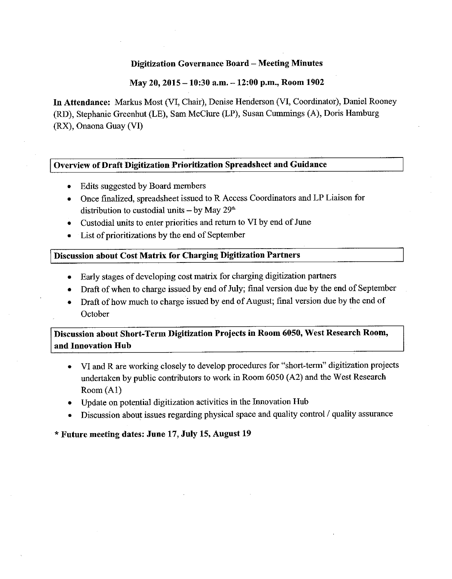#### **May 20, 2015 -10:30 a.m. -12:00 p.m., Room 1902**

In **Attendance:** Markus Most (VI, Chair), Denise Henderson (VI, Coordinator), Daniel Rooney (RD), Stephanie Greenhut (LE), Sam McClure (LP), Susan Cummings (A), Doris Hamburg (RX), Onaona Guay (VI)

#### **Overview of Draft Digitization Prioritization Spreadsheet and Guidance**

- Edits suggested by Board members
- Once finalized, spreadsheet issued to R Access Coordinators and LP Liaison for distribution to custodial units  $-$  by May 29<sup>th</sup>
- Custodial units to enter priorities and return to VI by end of June
- List of prioritizations by the end of September

#### **Discussion about Cost Matrix for Charging Digitization Partners**

- Early stages of developing cost matrix for charging digitization partners
- Draft of when to charge issued by end of July; final version due by the end of September
- Draft of how much to charge issued by end of August; final version due by the end of October

**Discussion about Short-Term Digitization Projects in Room 6050, West Research Room, and Innovation Hub** 

- VI and Rare working closely to develop procedures for "short-term" digitization projects undertaken by public contributors to work in Room 6050 (A2) and the West Research Room (Al)
- Update on potential digitization activities in the Innovation Hub
- Discussion about issues regarding physical space and quality control/ quality assurance

#### \* **Future meeting dates: June 17, July 15, August 19**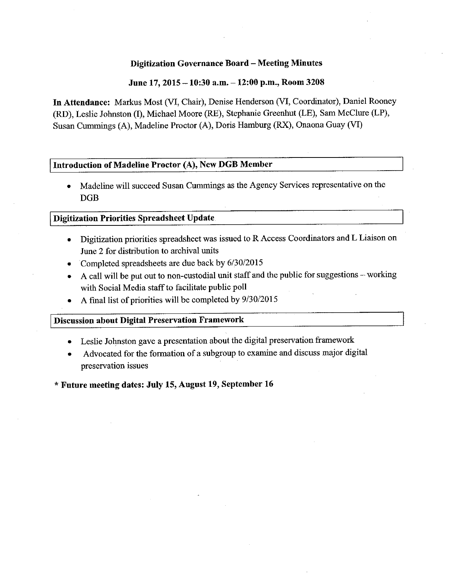#### **June 17, 2015 -10:30 a.m.** - **12:00 p.m., Room 3208**

**In Attendance:** Markus Most (VI, Chair), Denise Henderson (VI, Coordinator), Daniel Rooney (RD), Leslie Johnston (I), Michael Moore (RE), Stephanie Greenhut (LE), Sam McClure (LP), Susan Cummings (A), Madeline Proctor (A), Doris Hamburg (RX), Onaona Guay (VI)

#### **Introduction of Madeline Proctor (A), New DGB Member**

• Madeline will succeed Susan Cummings as the Agency Services representative on the DGB

#### **Digitization Priorities Spreadsheet Update**

- Digitization priorities spreadsheet was issued to R Access Coordinators and L Liaison on June 2 for distribution to archival units
- Completed spreadsheets are due back by 6/30/2015
- A call will be put out to non-custodial unit staff and the public for suggestions working with Social Media staff to facilitate public poll
- A final list of priorities will be completed by 9/30/2015

#### **Discnssion about Digital Preservation Framework**

- Leslie Johnston gave a presentation about the digital preservation framework
- Advocated for the formation of a subgroup to examine and discuss major digital preservation issues

\* **Future meeting dates: July 15, August 19, September 16**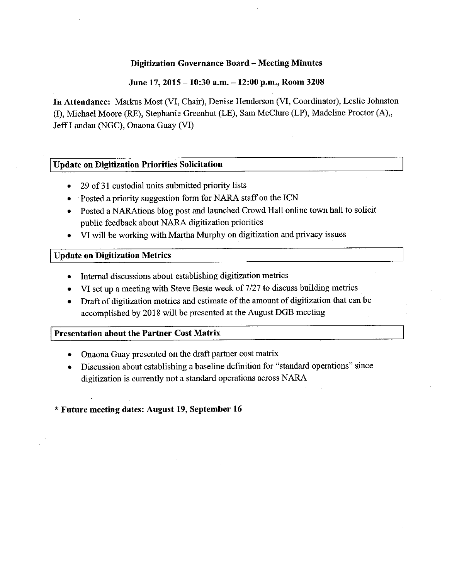#### **June 17, 2015 - 10:30 a.m. - 12:00 p.m., Room 3208**

**In Attendance:** Markus Most (VI, Chair), Denise Henderson (VI, Coordinator), Leslie Johnston (I), Michael Moore (RE), Stephanie Greenhut (LE), Sam McClure (LP), Madeline Proctor (A),, Jeff Landau (NGC), Onaona Guay (VI)

#### **Update on Digitization Priorities Solicitation**

- 29 of 31 custodial units submitted priority lists
- Posted a priority suggestion form for NARA staff on the ICN
- Posted a NARAtions blog post and launched Crowd Hall online town hall to solicit public feedback about NARA digitization priorities
- VI will be working with Martha Murphy on digitization and privacy issues

#### I **Update on Digitization Metrics**

- Internal discussions about establishing digitization metrics
- VI set up a meeting with Steve Beste week of 7 /27 to discuss building metrics
- Draft of digitization metrics and estimate of the amount of digitization that can be accomplished by 2018 will be presented at the August DGB meeting

#### **Presentation about the Partner Cost Matrix**

- Onaona Guay presented on the draft partner cost matrix
- Discussion about establishing a baseline definition for "standard operations" since digitization is currently not a standard operations across NARA

#### \* **Future meeting dates: August 19, September 16**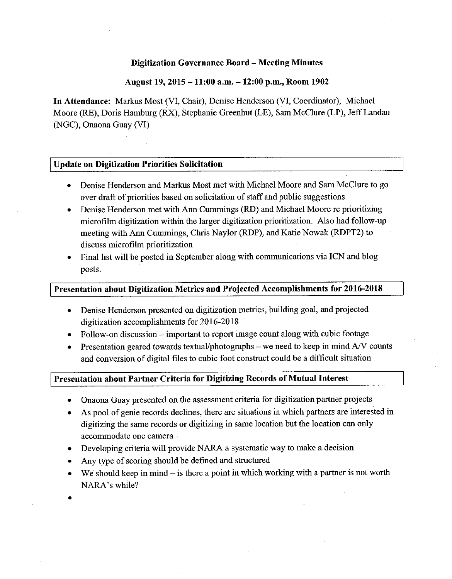#### **August 19, 2015 -11:00 a.m. -12:00 p.m., Room 1902**

**In Attendance:** Markus Most (VI, Chair), Denise Henderson (VI, Coordinator), Michael Moore (RE), Doris Hamburg (RX), Stephanie Greenhut (LE), Sam McClure (LP), Jeff Landau (NGC), Onaona Guay (VI)

# **Update on Digitization Priorities Solicitation**

- Denise Henderson and Markus Most met with Michael Moore and Sam McClure to go over draft of priorities based on solicitation of staff and public suggestions
- Denise Henderson met with Ann Cummings (RD) and Michael Moore re prioritizing microfilm digitization within the larger digitization prioritization. Also had follow-up meeting with Ann Cummings, Chris Naylor (RDP), and Katie Nowak (RDPT2) to discuss microfilm prioritization
- Final list will be posted in September along with communications via ICN and blog posts.

#### **Presentation about Digitization Metrics and Projected Accomplishments for 2016-2018**

- Denise Henderson presented on digitization metrics, building goal, and projected digitization accomplishments for 2016-2018
- Follow-on discussion important to report image count along with cubic footage
- Presentation geared towards textual/photographs we need to keep in mind  $A/V$  counts and conversion of digital files to cubic foot construct could be a difficult situation

#### **Presentation about Partner Criteria for Digitizing Records of Mutual Interest**

- Onaona Guay presented on the assessment criteria for digitization partner projects
- As pool of genie records declines, there are situations in which partners are interested in digitizing the same records or digitizing in same location but the location can only accommodate one camera .
- Developing criteria will provide NARA a systematic way to make a decision
- Any type of scoring should be defined and structured
- We should keep in mind  $-$  is there a point in which working with a partner is not worth NARA's while?
- •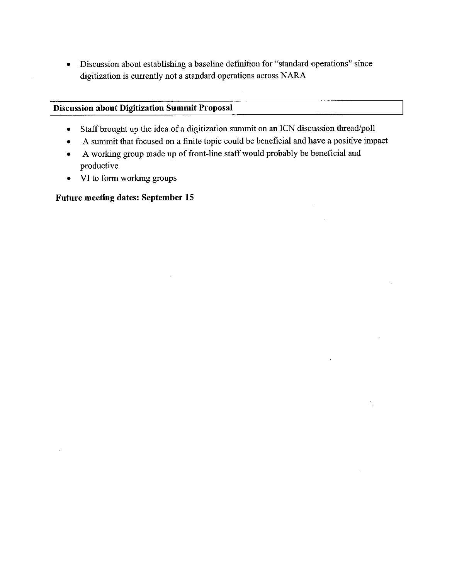• Discussion about establishing a baseline definition for "standard operations" since digitization is currently not a standard operations across NARA

# **Discussion about Digitization Summit Proposal**

- Staff brought up the idea of a digitization summit on an ICN discussion thread/poll
- A summit that focused on a fmite topic could be beneficial and have a positive impact

 $\bar{\gamma}$ 

 $\bar{z}$ 

- A working group made up of front-line staff would probably be beneficial and productive
- VI to form working groups

# **Future meeting dates: September 15**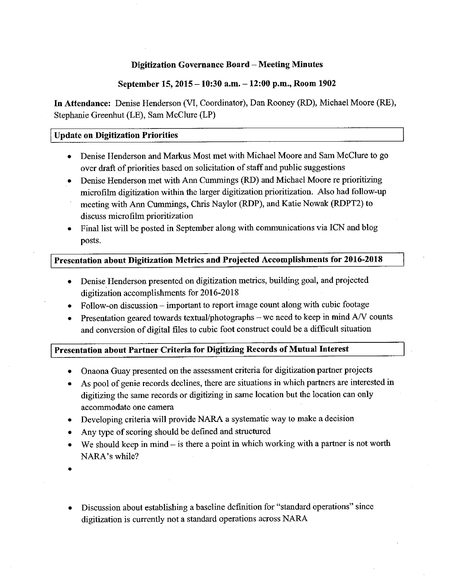# **September 15, 2015 -10:30 a.m. - 12:00 p.m., Room 1902**

**In Attendance:** Denise Henderson (VI, Coordinator), Dan Rooney (RD), Michael Moore (RE), Stephanie Greenhut (LE), Sam McClure (LP)

# I **Update on Digitization Priorities**

- Denise Henderson and Markus Most met with Michael Moore and Sam McClure to go over draft of priorities based on solicitation of staff and public suggestions
- Denise Henderson met with Ann Cummings (RD) and Michael Moore re prioritizing microfihn digitization within the larger digitization prioritization. Also had follow-up
- meeting with Ann Cummings, Chris Naylor (RDP), and Katie Nowak (RDPT2) to discuss microfilm prioritization
- Final list will be posted in September along with commnnications via ICN and blog posts.

# **Presentation about Digitization Metrics and Projected Accomplishments for 2016-2018**

- Denise, Henderson presented on digitization metrics, building goal, and projected digitization accomplishments for 2016-2018
- Follow-on discussion important to report image count along with cubic footage
- Presentation geared towards textual/photographs we need to keep in mind *NV* counts and conversion of digital files to cubic foot construct could be a difficult situation

# **Presentation about Partner Criteria for Digitizing Records of Mutual Interest**

- Onaona Guay presented on the assessment criteria for digitization partner projects
- As pool of genie records declines, there are situations in which partners are interested **in**  digitizing the same records or digitizing in same location but the location can only accommodate one camera
- Developing criteria will provide NARA a systematic way to make a decision
- Any type of scoring should be defined and structured
- We should keep in mind  $-$  is there a point in which working with a partner is not worth NARA's while?
- •
- Discussion about establishing a baseline definition for "standard operations" since digitization is currently not a standard operations across NARA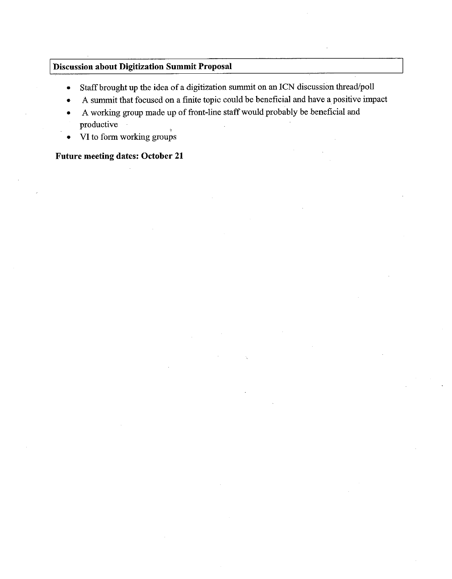# **Discussion about Digitization Summit Proposal**

- Staff brought up the idea of a digitization sununit on an ICN discussion thread/poll
- A sununit that focused on a finite topic could be beneficial and have a positive impact
- A working group made up of front-line staff would probably be beneficial and productive
- VI to form working groups

# **Future meeting dates: October 21**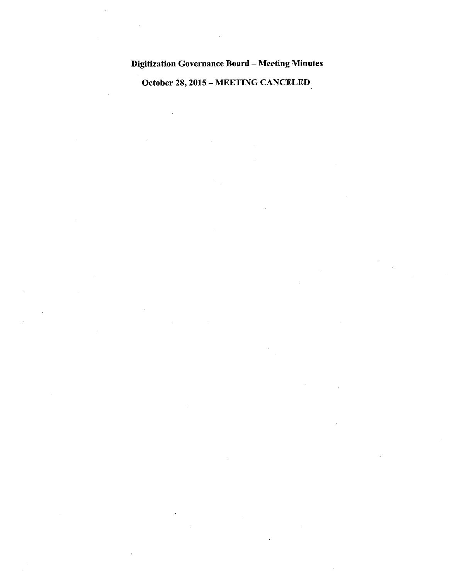October 28, 2015 - MEETING CANCELED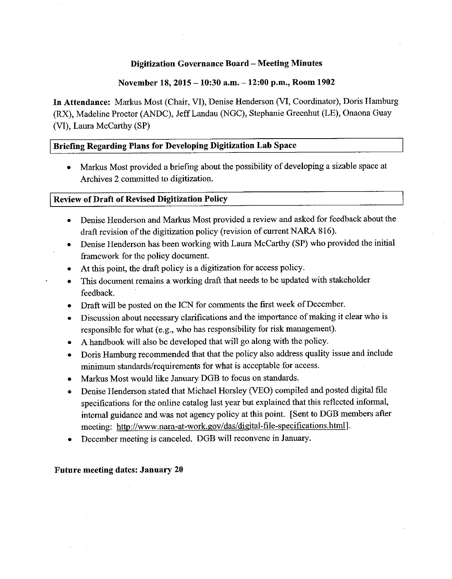# **November 18, 2015** - **10:30 a.m.** - **12:00 p.m., Room 1902**

**In Attendance:** Markus Most (Chair, **VI),** Denise Henderson (VI, Coordinator), Doris Hamburg (RX), Madeline Proctor (ANDC), Jeff Landau (NGC), Stephanie Greenhut (LE), Onaona Guay (VI), Laura McCarthy **(SP)** 

# **Briefing Regarding Plans for Developing Digitization Lab Space**

• Markus Most provided a briefing about the possibility of developing a sizable space at Archives 2 connnitted to digitization.

#### **Review of Draft of Revised Digitization Policy**

- Denise Henderson and Markus Most provided a review and asked for feedback about the draft revision of the digitization policy (revision of current NARA 816).
- Denise Henderson has been working with Laura McCarthy (SP) who provided the initial framework for the policy document.
- At this point, the draft policy is a digitization for access policy.
- This document remains a working draft that needs to be updated with stakeholder feedback.
- Draft will be posted on the ICN for connnents the first week of December.
- Discussion about necessary clarifications and the importance of making it clear who is responsible for what (e.g., who has responsibility for risk management).
- A handbook will also be developed that will go along with the policy.
- Doris Hamburg reconnnended that that the policy also address quality issue and include minimum standards/requirements for what is acceptable for access.
- Markus Most would like January DGB to focus on standards.
- Denise Henderson stated that Michael Horsley (VEO) compiled and posted digital file specifications for the online catalog last year but explained that this reflected informal, internal guidance and was not agency policy at this point. [Sent to DGB members after meeting: http://www.nara-at-work.gov/das/digital-file-specifications.html].
- December meeting is canceled. DGB will reconvene in January.

# **Future meeting dates: January 20**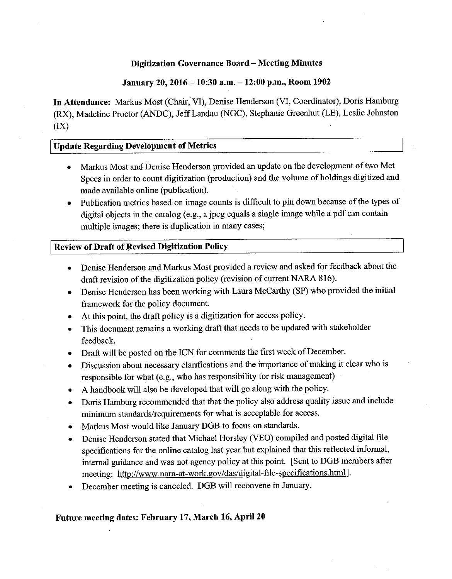# **January 20, 2016 -10:30 a.m.** - **12:00 p.m., Room 1902**

**In Attendance:** Markus Most (Chair, VI), Denise Henderson (VI, Coordinator), Doris Hamburg (RX), Madeline Proctor (ANDC), Jeff Landau (NGC), Stephanie Greenhut (LE), Leslie Jolmston (IX)

#### **Update Regarding Development of Metrics**

- Markus Most and Denise Henderson provided an update on the development of two Met Specs in order to count digitization (production) and the volume of holdings digitized and made available online (publication).
- Publication metrics based on image counts is difficult to pin down because of the types of digital objects in the catalog (e.g., a jpeg equals a single image while a pdf can contain multiple images; there is duplication in many cases;

# **Review of Draft of Revised Digitization Policy**

- Denise Henderson and Markus Most provided a review and asked for feedback about the draft revision of the digitization policy (revision of current NARA 816).
- Denise Henderson has been working with Laura McCarthy (SP) who provided the initial framework for the policy document.
- At this point, the draft policy is a digitization for access policy.
- This document remains a working draft that needs to be updated with stakeholder feedback.
- Draft will be posted on the ICN for comments the first week of December.
- Discussion about necessary clarifications and the importance of making it clear who is responsible for what (e.g., who has responsibility for risk management).
- A handbook will also be developed that will go along with the policy.
- Doris Hamburg recommended that that the policy also address quality issue and include minimum standards/requirements for what is acceptable for access.
- Markus Most would like January DGB to focus on standards.
- Denise Henderson stated that Michael Horsley (VEO) compiled and posted digital file specifications for the online catalog last year but explained that this reflected informal, internal guidance and was not agency policy at this point. [Sent to DGB members after meeting: http://www.nara-at-work.gov/das/digital-file-specifications.htmlJ.
- December meeting is canceled. DGB will reconvene in January.

# **Future meeting dates: February 17, March 16, April 20**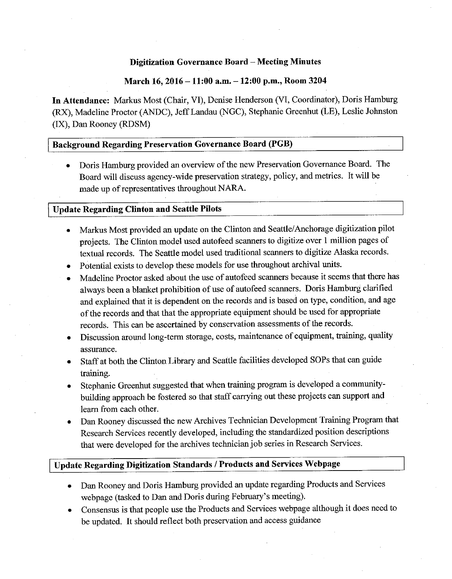# **March 16, 2016 -11:00 a.m. -12:00 p.m., Room 3204**

**In Attendance:** Markus Most (Chair, VI), Denise Henderson (VI, Coordinator), Doris Hamburg (RX), Madeline Proctor (ANDC), Jeff Landau (NGC), Stephanie Greenhut (LE), Leslie Johnston (IX), Dan Rooney (RDSM)

# **Background Regarding Preservation Governance Board (PGB)**

• Doris Hamburg provided an overview of the new Preservation Governance Board. The Board will discuss agency-wide preservation strategy, policy, and metrics. It will be made up of representatives throughout NARA.

#### **Update Regarding Clinton and Seattle Pilots**

- Markus Most provided an update on the Clinton and Seattle/ Anchorage digitization pilot projects. The Clinton model used autofeed scanners to digitize over 1 million pages of textual records. The Seattle model used traditional scanners to digitize Alaska records.
- Potential exists to develop these models for use throughout archival units.
- Madeline Proctor asked about the use of autofeed scanners because it seems that there has always been a blanket prohibition of use of auto feed scanners. Doris Hamburg clarified and explained that it is dependent on the records and is based on type, condition, and age of the records and that that the appropriate equipment should be used for appropriate records. This can be ascertained by conservation assessments of the records.
- Discussion around long-term storage, costs, maintenance of equipment, training, quality assurance.
- Staff at both the Clinton Library and Seattle facilities developed SOPs that can guide training.
- Stephanie Greenhut suggested that when training program is developed a communitybuilding approach be fostered so that staff carrying out these projects can support and learn from each other.
- Dan Rooney discussed the new Archives Technician Development Training Program that Research Services recently developed, including the standardized position descriptions that were developed for the archives technician job series in Research Services.

# **Update Regarding Digitization Standards/ Products and Services Webpage**

- Dan Rooney and Doris Hamburg provided an update regarding Products and Services webpage (tasked to Dan and Doris during February's meeting).
- Consensus is that people use the Products and Services webpage although it does need to be updated. It should reflect both preservation and access guidance